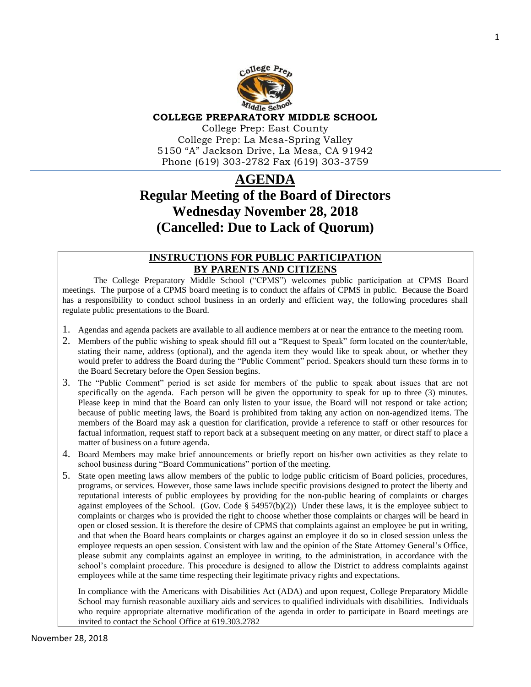

#### **COLLEGE PREPARATORY MIDDLE SCHOOL**

College Prep: East County College Prep: La Mesa-Spring Valley 5150 "A" Jackson Drive, La Mesa, CA 91942 Phone (619) 303-2782 Fax (619) 303-3759

# **AGENDA Regular Meeting of the Board of Directors Wednesday November 28, 2018 (Cancelled: Due to Lack of Quorum)**

## **INSTRUCTIONS FOR PUBLIC PARTICIPATION BY PARENTS AND CITIZENS**

The College Preparatory Middle School ("CPMS") welcomes public participation at CPMS Board meetings. The purpose of a CPMS board meeting is to conduct the affairs of CPMS in public. Because the Board has a responsibility to conduct school business in an orderly and efficient way, the following procedures shall regulate public presentations to the Board.

- 1. Agendas and agenda packets are available to all audience members at or near the entrance to the meeting room.
- 2. Members of the public wishing to speak should fill out a "Request to Speak" form located on the counter/table, stating their name, address (optional), and the agenda item they would like to speak about, or whether they would prefer to address the Board during the "Public Comment" period. Speakers should turn these forms in to the Board Secretary before the Open Session begins.
- 3. The "Public Comment" period is set aside for members of the public to speak about issues that are not specifically on the agenda. Each person will be given the opportunity to speak for up to three (3) minutes. Please keep in mind that the Board can only listen to your issue, the Board will not respond or take action; because of public meeting laws, the Board is prohibited from taking any action on non-agendized items. The members of the Board may ask a question for clarification, provide a reference to staff or other resources for factual information, request staff to report back at a subsequent meeting on any matter, or direct staff to place a matter of business on a future agenda.
- 4. Board Members may make brief announcements or briefly report on his/her own activities as they relate to school business during "Board Communications" portion of the meeting.
- 5. State open meeting laws allow members of the public to lodge public criticism of Board policies, procedures, programs, or services. However, those same laws include specific provisions designed to protect the liberty and reputational interests of public employees by providing for the non-public hearing of complaints or charges against employees of the School. (Gov. Code  $\S$  54957(b)(2)) Under these laws, it is the employee subject to complaints or charges who is provided the right to choose whether those complaints or charges will be heard in open or closed session. It is therefore the desire of CPMS that complaints against an employee be put in writing, and that when the Board hears complaints or charges against an employee it do so in closed session unless the employee requests an open session. Consistent with law and the opinion of the State Attorney General's Office, please submit any complaints against an employee in writing, to the administration, in accordance with the school's complaint procedure. This procedure is designed to allow the District to address complaints against employees while at the same time respecting their legitimate privacy rights and expectations.

In compliance with the Americans with Disabilities Act (ADA) and upon request, College Preparatory Middle School may furnish reasonable auxiliary aids and services to qualified individuals with disabilities. Individuals who require appropriate alternative modification of the agenda in order to participate in Board meetings are invited to contact the School Office at 619.303.2782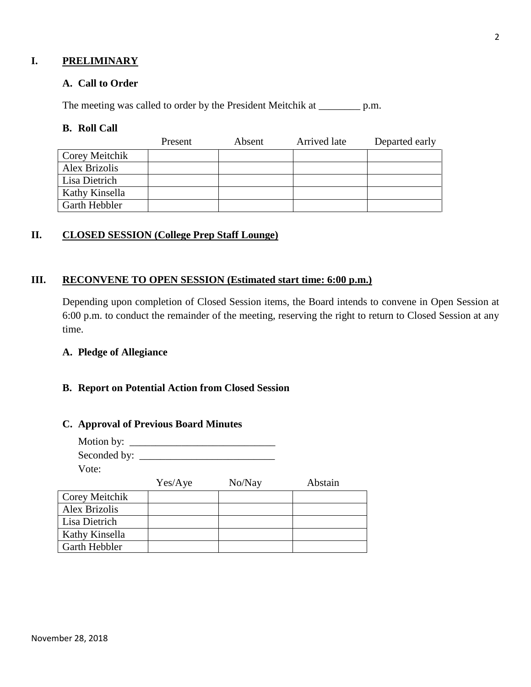# **I. PRELIMINARY**

#### **A. Call to Order**

The meeting was called to order by the President Meitchik at \_\_\_\_\_\_\_\_\_ p.m.

#### **B. Roll Call**

|                      | Present | Absent | Arrived late | Departed early |
|----------------------|---------|--------|--------------|----------------|
| Corey Meitchik       |         |        |              |                |
| Alex Brizolis        |         |        |              |                |
| Lisa Dietrich        |         |        |              |                |
| Kathy Kinsella       |         |        |              |                |
| <b>Garth Hebbler</b> |         |        |              |                |

# **II. CLOSED SESSION (College Prep Staff Lounge)**

#### **III. RECONVENE TO OPEN SESSION (Estimated start time: 6:00 p.m.)**

Depending upon completion of Closed Session items, the Board intends to convene in Open Session at 6:00 p.m. to conduct the remainder of the meeting, reserving the right to return to Closed Session at any time.

#### **A. Pledge of Allegiance**

# **B. Report on Potential Action from Closed Session**

#### **C. Approval of Previous Board Minutes**

| Motion by: $\_\_$ |  |
|-------------------|--|
| Seconded by:      |  |
| Vote:             |  |

|                      | Yes/Aye | No/Nay | Abstain |
|----------------------|---------|--------|---------|
| Corey Meitchik       |         |        |         |
| Alex Brizolis        |         |        |         |
| Lisa Dietrich        |         |        |         |
| Kathy Kinsella       |         |        |         |
| <b>Garth Hebbler</b> |         |        |         |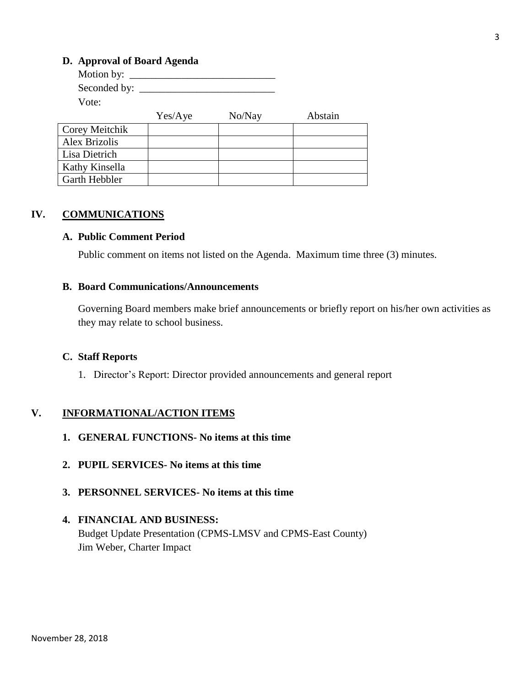## **D. Approval of Board Agenda**

| Motion by: $\_\_$ |         |        |         |
|-------------------|---------|--------|---------|
| Seconded by:      |         |        |         |
| Vote:             |         |        |         |
|                   | Yes/Aye | No/Nay | Abstain |
| Corey Meitchik    |         |        |         |
| Alex Brizolis     |         |        |         |
| Lisa Dietrich     |         |        |         |
| Kathy Kinsella    |         |        |         |
| Garth Hebbler     |         |        |         |

# **IV. COMMUNICATIONS**

#### **A. Public Comment Period**

Public comment on items not listed on the Agenda. Maximum time three (3) minutes.

## **B. Board Communications/Announcements**

Governing Board members make brief announcements or briefly report on his/her own activities as they may relate to school business.

#### **C. Staff Reports**

1. Director's Report: Director provided announcements and general report

#### **V. INFORMATIONAL/ACTION ITEMS**

- **1. GENERAL FUNCTIONS- No items at this time**
- **2. PUPIL SERVICES- No items at this time**
- **3. PERSONNEL SERVICES- No items at this time**

# **4. FINANCIAL AND BUSINESS:** Budget Update Presentation (CPMS-LMSV and CPMS-East County) Jim Weber, Charter Impact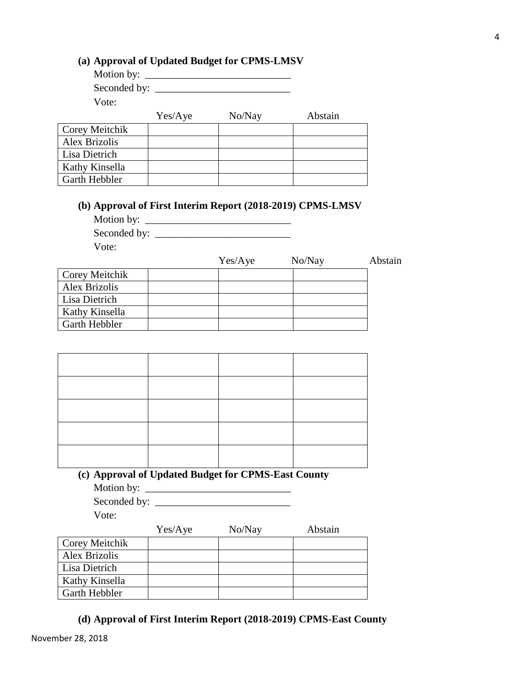**(d) Approval of First Interim Report (2018-2019) CPMS-East County**

# **(a) Approval of Updated Budget for CPMS-LMSV**

| Yes/Aye | No/Nay            | Abstain |
|---------|-------------------|---------|
|         |                   |         |
|         |                   |         |
|         |                   |         |
|         |                   |         |
|         | Motion by: $\_\_$ |         |

#### **(b) Approval of First Interim Report (2018-2019) CPMS-LMSV**

Motion by: \_\_\_\_\_\_\_\_\_\_\_\_\_\_\_\_\_\_\_\_\_\_\_\_\_\_\_\_

Seconded by: \_\_\_\_\_\_\_\_\_\_\_\_\_\_\_\_\_\_\_\_\_\_\_\_\_\_

Vote:

Garth Hebbler

|                      | Yes/Aye | No/Nay | Abstain |
|----------------------|---------|--------|---------|
| Corey Meitchik       |         |        |         |
| Alex Brizolis        |         |        |         |
| Lisa Dietrich        |         |        |         |
| Kathy Kinsella       |         |        |         |
| <b>Garth Hebbler</b> |         |        |         |

# **(c) Approval of Updated Budget for CPMS-East County** Motion by: \_\_\_\_\_\_\_\_\_\_\_\_\_\_\_\_\_\_\_\_\_\_\_\_\_\_\_\_

Seconded by:

Vote:

|                      | Yes/Aye | No/Nay | Abstain |
|----------------------|---------|--------|---------|
| Corey Meitchik       |         |        |         |
| <b>Alex Brizolis</b> |         |        |         |
| Lisa Dietrich        |         |        |         |
| Kathy Kinsella       |         |        |         |
| Garth Hebbler        |         |        |         |